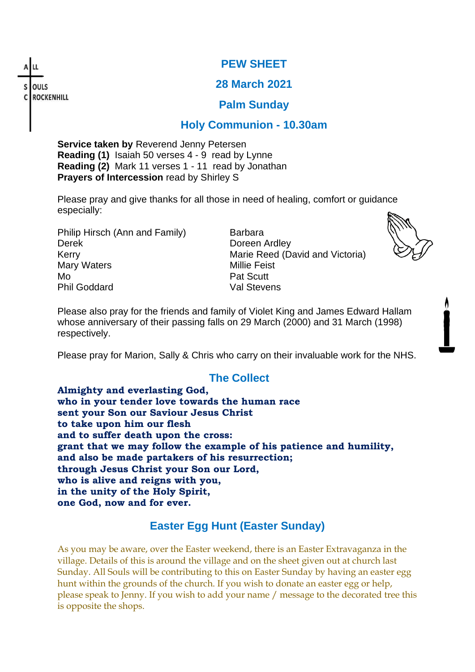OULS **ROCKENHILL** 

#### **PEW SHEET**

#### **28 March 2021**

#### **Palm Sunday**

### **Holy Communion - 10.30am**

**Service taken by** Reverend Jenny Petersen **Reading (1)** Isaiah 50 verses 4 - 9 read by Lynne **Reading (2)** Mark 11 verses 1 - 11 read by Jonathan **Prayers of Intercession** read by Shirley S

Please pray and give thanks for all those in need of healing, comfort or guidance especially:

Philip Hirsch (Ann and Family) Barbara Derek Doreen Ardley Mary Waters **Millie Feist** Millie Feist Mo **Pat Scutt** Phil Goddard Val Stevens

Kerry **Marie Reed (David and Victoria)** Marie Reed (David and Victoria)



Please also pray for the friends and family of Violet King and James Edward Hallam whose anniversary of their passing falls on 29 March (2000) and 31 March (1998) respectively.

Please pray for Marion, Sally & Chris who carry on their invaluable work for the NHS.

# **The Collect**

**Almighty and everlasting God, who in your tender love towards the human race sent your Son our Saviour Jesus Christ to take upon him our flesh and to suffer death upon the cross: grant that we may follow the example of his patience and humility, and also be made partakers of his resurrection; through Jesus Christ your Son our Lord, who is alive and reigns with you, in the unity of the Holy Spirit, one God, now and for ever.**

# **Easter Egg Hunt (Easter Sunday)**

As you may be aware, over the Easter weekend, there is an Easter Extravaganza in the village. Details of this is around the village and on the sheet given out at church last Sunday. All Souls will be contributing to this on Easter Sunday by having an easter egg hunt within the grounds of the church. If you wish to donate an easter egg or help, please speak to Jenny. If you wish to add your name / message to the decorated tree this is opposite the shops.